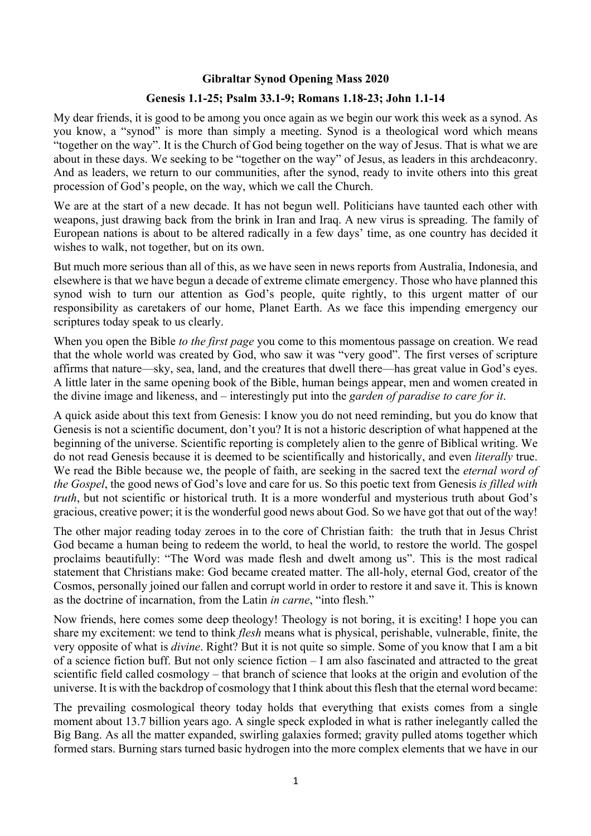## **Gibraltar Synod Opening Mass 2020**

## **Genesis 1.1-25; Psalm 33.1-9; Romans 1.18-23; John 1.1-14**

My dear friends, it is good to be among you once again as we begin our work this week as a synod. As you know, a "synod" is more than simply a meeting. Synod is a theological word which means "together on the way". It is the Church of God being together on the way of Jesus. That is what we are about in these days. We seeking to be "together on the way" of Jesus, as leaders in this archdeaconry. And as leaders, we return to our communities, after the synod, ready to invite others into this great procession of God's people, on the way, which we call the Church.

We are at the start of a new decade. It has not begun well. Politicians have taunted each other with weapons, just drawing back from the brink in Iran and Iraq. A new virus is spreading. The family of European nations is about to be altered radically in a few days' time, as one country has decided it wishes to walk, not together, but on its own.

But much more serious than all of this, as we have seen in news reports from Australia, Indonesia, and elsewhere is that we have begun a decade of extreme climate emergency. Those who have planned this synod wish to turn our attention as God's people, quite rightly, to this urgent matter of our responsibility as caretakers of our home, Planet Earth. As we face this impending emergency our scriptures today speak to us clearly.

When you open the Bible *to the first page* you come to this momentous passage on creation. We read that the whole world was created by God, who saw it was "very good". The first verses of scripture affirms that nature—sky, sea, land, and the creatures that dwell there—has great value in God's eyes. A little later in the same opening book of the Bible, human beings appear, men and women created in the divine image and likeness, and – interestingly put into the *garden of paradise to care for it*.

A quick aside about this text from Genesis: I know you do not need reminding, but you do know that Genesis is not a scientific document, don't you? It is not a historic description of what happened at the beginning of the universe. Scientific reporting is completely alien to the genre of Biblical writing. We do not read Genesis because it is deemed to be scientifically and historically, and even *literally* true. We read the Bible because we, the people of faith, are seeking in the sacred text the *eternal word of the Gospel*, the good news of God's love and care for us. So this poetic text from Genesis *is filled with truth*, but not scientific or historical truth. It is a more wonderful and mysterious truth about God's gracious, creative power; it is the wonderful good news about God. So we have got that out of the way!

The other major reading today zeroes in to the core of Christian faith: the truth that in Jesus Christ God became a human being to redeem the world, to heal the world, to restore the world. The gospel proclaims beautifully: "The Word was made flesh and dwelt among us". This is the most radical statement that Christians make: God became created matter. The all-holy, eternal God, creator of the Cosmos, personally joined our fallen and corrupt world in order to restore it and save it. This is known as the doctrine of incarnation, from the Latin *in carne*, "into flesh."

Now friends, here comes some deep theology! Theology is not boring, it is exciting! I hope you can share my excitement: we tend to think *flesh* means what is physical, perishable, vulnerable, finite, the very opposite of what is *divine*. Right? But it is not quite so simple. Some of you know that I am a bit of a science fiction buff. But not only science fiction – I am also fascinated and attracted to the great scientific field called cosmology – that branch of science that looks at the origin and evolution of the universe. It is with the backdrop of cosmology that I think about this flesh that the eternal word became:

The prevailing cosmological theory today holds that everything that exists comes from a single moment about 13.7 billion years ago. A single speck exploded in what is rather inelegantly called the Big Bang. As all the matter expanded, swirling galaxies formed; gravity pulled atoms together which formed stars. Burning stars turned basic hydrogen into the more complex elements that we have in our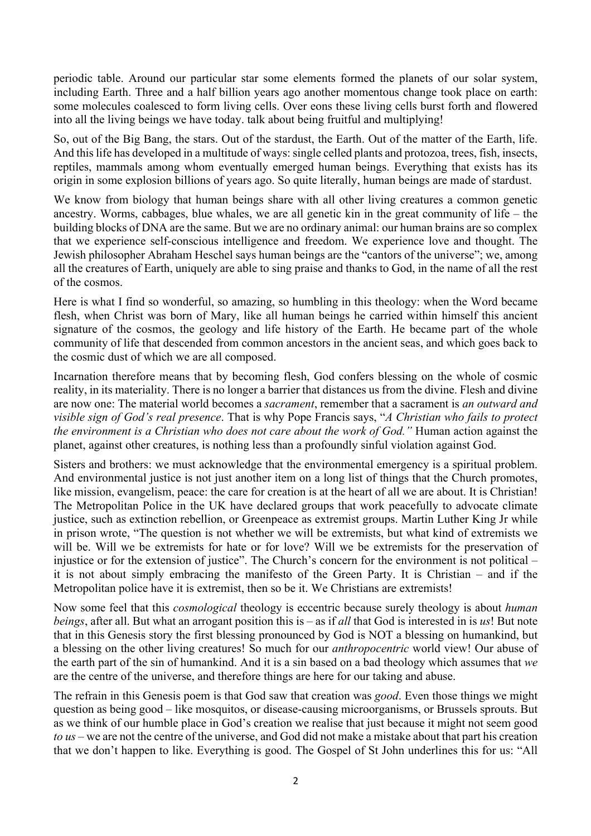periodic table. Around our particular star some elements formed the planets of our solar system, including Earth. Three and a half billion years ago another momentous change took place on earth: some molecules coalesced to form living cells. Over eons these living cells burst forth and flowered into all the living beings we have today. talk about being fruitful and multiplying!

So, out of the Big Bang, the stars. Out of the stardust, the Earth. Out of the matter of the Earth, life. And this life has developed in a multitude of ways: single celled plants and protozoa, trees, fish, insects, reptiles, mammals among whom eventually emerged human beings. Everything that exists has its origin in some explosion billions of years ago. So quite literally, human beings are made of stardust.

We know from biology that human beings share with all other living creatures a common genetic ancestry. Worms, cabbages, blue whales, we are all genetic kin in the great community of life – the building blocks of DNA are the same. But we are no ordinary animal: our human brains are so complex that we experience self-conscious intelligence and freedom. We experience love and thought. The Jewish philosopher Abraham Heschel says human beings are the "cantors of the universe"; we, among all the creatures of Earth, uniquely are able to sing praise and thanks to God, in the name of all the rest of the cosmos.

Here is what I find so wonderful, so amazing, so humbling in this theology: when the Word became flesh, when Christ was born of Mary, like all human beings he carried within himself this ancient signature of the cosmos, the geology and life history of the Earth. He became part of the whole community of life that descended from common ancestors in the ancient seas, and which goes back to the cosmic dust of which we are all composed.

Incarnation therefore means that by becoming flesh, God confers blessing on the whole of cosmic reality, in its materiality. There is no longer a barrier that distances us from the divine. Flesh and divine are now one: The material world becomes a *sacrament*, remember that a sacrament is *an outward and visible sign of God's real presence*. That is why Pope Francis says, "*A Christian who fails to protect the environment is a Christian who does not care about the work of God."* Human action against the planet, against other creatures, is nothing less than a profoundly sinful violation against God.

Sisters and brothers: we must acknowledge that the environmental emergency is a spiritual problem. And environmental justice is not just another item on a long list of things that the Church promotes, like mission, evangelism, peace: the care for creation is at the heart of all we are about. It is Christian! The Metropolitan Police in the UK have declared groups that work peacefully to advocate climate justice, such as extinction rebellion, or Greenpeace as extremist groups. Martin Luther King Jr while in prison wrote, "The question is not whether we will be extremists, but what kind of extremists we will be. Will we be extremists for hate or for love? Will we be extremists for the preservation of injustice or for the extension of justice". The Church's concern for the environment is not political – it is not about simply embracing the manifesto of the Green Party. It is Christian – and if the Metropolitan police have it is extremist, then so be it. We Christians are extremists!

Now some feel that this *cosmological* theology is eccentric because surely theology is about *human beings*, after all. But what an arrogant position this is – as if *all* that God is interested in is *us*! But note that in this Genesis story the first blessing pronounced by God is NOT a blessing on humankind, but a blessing on the other living creatures! So much for our *anthropocentric* world view! Our abuse of the earth part of the sin of humankind. And it is a sin based on a bad theology which assumes that *we* are the centre of the universe, and therefore things are here for our taking and abuse.

The refrain in this Genesis poem is that God saw that creation was *good*. Even those things we might question as being good – like mosquitos, or disease-causing microorganisms, or Brussels sprouts. But as we think of our humble place in God's creation we realise that just because it might not seem good *to us* – we are not the centre of the universe, and God did not make a mistake about that part his creation that we don't happen to like. Everything is good. The Gospel of St John underlines this for us: "All